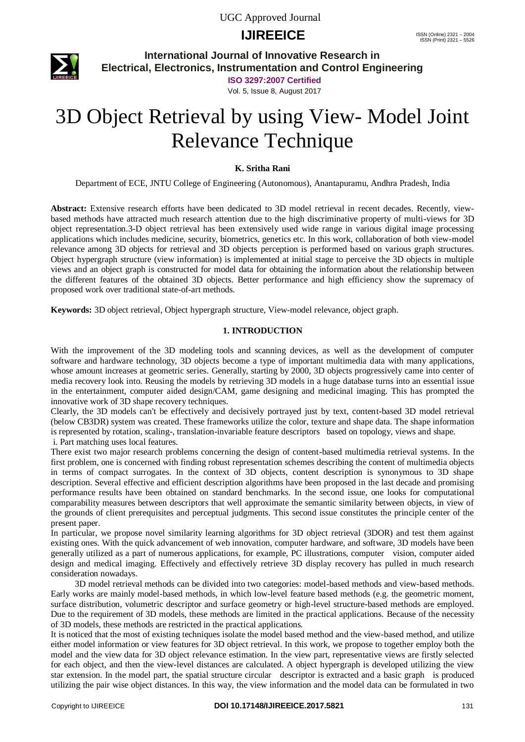## **IJIREEICE** ISSN (Online)  $2321 - 2004$ <br>
ISSN (Print)  $2321 - 2004$



**International Journal of Innovative Research in Electrical, Electronics, Instrumentation and Control Engineering**

**ISO 3297:2007 Certified**

Vol. 5, Issue 8, August 2017

# 3D Object Retrieval by using View- Model Joint Relevance Technique

#### **K. Sritha Rani**

Department of ECE, JNTU College of Engineering (Autonomous), Anantapuramu, Andhra Pradesh, India

**Abstract:** Extensive research efforts have been dedicated to 3D model retrieval in recent decades. Recently, viewbased methods have attracted much research attention due to the high discriminative property of multi-views for 3D object representation.3-D object retrieval has been extensively used wide range in various digital image processing applications which includes medicine, security, biometrics, genetics etc. In this work, collaboration of both view-model relevance among 3D objects for retrieval and 3D objects perception is performed based on various graph structures. Object hypergraph structure (view information) is implemented at initial stage to perceive the 3D objects in multiple views and an object graph is constructed for model data for obtaining the information about the relationship between the different features of the obtained 3D objects. Better performance and high efficiency show the supremacy of proposed work over traditional state-of-art methods.

**Keywords:** 3D object retrieval, Object hypergraph structure, View-model relevance, object graph.

#### **1. INTRODUCTION**

With the improvement of the 3D modeling tools and scanning devices, as well as the development of computer software and hardware technology, 3D objects become a type of important multimedia data with many applications, whose amount increases at geometric series. Generally, starting by 2000, 3D objects progressively came into center of media recovery look into. Reusing the models by retrieving 3D models in a huge database turns into an essential issue in the entertainment, computer aided design/CAM, game designing and medicinal imaging. This has prompted the innovative work of 3D shape recovery techniques.

Clearly, the 3D models can't be effectively and decisively portrayed just by text, content-based 3D model retrieval (below CB3DR) system was created. These frameworks utilize the color, texture and shape data. The shape information is represented by rotation, scaling-, translation-invariable feature descriptors based on topology, views and shape. i. Part matching uses local features.

There exist two major research problems concerning the design of content-based multimedia retrieval systems. In the first problem, one is concerned with finding robust representation schemes describing the content of multimedia objects in terms of compact surrogates. In the context of 3D objects, content description is synonymous to 3D shape description. Several effective and efficient description algorithms have been proposed in the last decade and promising performance results have been obtained on standard benchmarks. In the second issue, one looks for computational comparability measures between descriptors that well approximate the semantic similarity between objects, in view of the grounds of client prerequisites and perceptual judgments. This second issue constitutes the principle center of the present paper.

In particular, we propose novel similarity learning algorithms for 3D object retrieval (3DOR) and test them against existing ones. With the quick advancement of web innovation, computer hardware, and software, 3D models have been generally utilized as a part of numerous applications, for example, PC illustrations, computer vision, computer aided design and medical imaging. Effectively and effectively retrieve 3D display recovery has pulled in much research consideration nowadays.

 3D model retrieval methods can be divided into two categories: model-based methods and view-based methods. Early works are mainly model-based methods, in which low-level feature based methods (e.g. the geometric moment, surface distribution, volumetric descriptor and surface geometry or high-level structure-based methods are employed. Due to the requirement of 3D models, these methods are limited in the practical applications. Because of the necessity of 3D models, these methods are restricted in the practical applications.

It is noticed that the most of existing techniques isolate the model based method and the view-based method, and utilize either model information or view features for 3D object retrieval. In this work, we propose to together employ both the model and the view data for 3D object relevance estimation. In the view part, representative views are firstly selected for each object, and then the view-level distances are calculated. A object hypergraph is developed utilizing the view star extension. In the model part, the spatial structure circular descriptor is extracted and a basic graph is produced utilizing the pair wise object distances. In this way, the view information and the model data can be formulated in two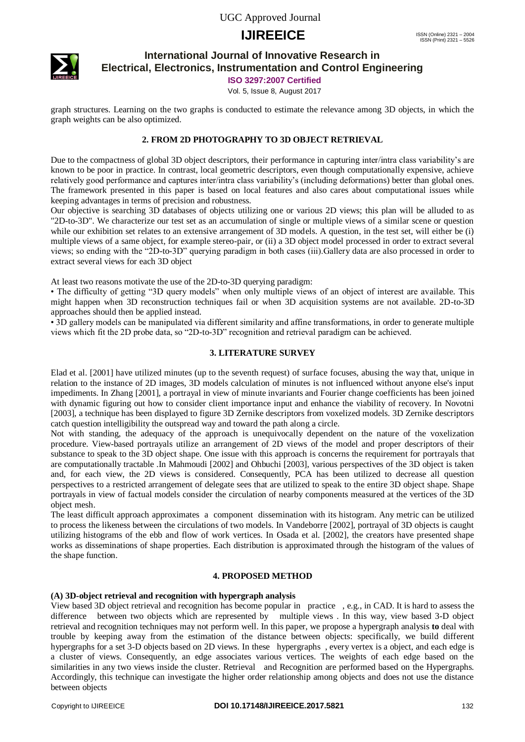# **IJIREEICE** ISSN (Online)  $2321 - 2004$ <br>
ISSN (Print)  $2321 - 2004$



**International Journal of Innovative Research in Electrical, Electronics, Instrumentation and Control Engineering**

**ISO 3297:2007 Certified**

Vol. 5, Issue 8, August 2017

graph structures. Learning on the two graphs is conducted to estimate the relevance among 3D objects, in which the graph weights can be also optimized.

### **2. FROM 2D PHOTOGRAPHY TO 3D OBJECT RETRIEVAL**

Due to the compactness of global 3D object descriptors, their performance in capturing inter/intra class variability's are known to be poor in practice. In contrast, local geometric descriptors, even though computationally expensive, achieve relatively good performance and captures inter/intra class variability's (including deformations) better than global ones. The framework presented in this paper is based on local features and also cares about computational issues while keeping advantages in terms of precision and robustness.

Our objective is searching 3D databases of objects utilizing one or various 2D views; this plan will be alluded to as "2D-to-3D". We characterize our test set as an accumulation of single or multiple views of a similar scene or question while our exhibition set relates to an extensive arrangement of 3D models. A question, in the test set, will either be (i) multiple views of a same object, for example stereo-pair, or (ii) a 3D object model processed in order to extract several views; so ending with the "2D-to-3D" querying paradigm in both cases (iii).Gallery data are also processed in order to extract several views for each 3D object

At least two reasons motivate the use of the 2D-to-3D querying paradigm:

• The difficulty of getting "3D query models" when only multiple views of an object of interest are available. This might happen when 3D reconstruction techniques fail or when 3D acquisition systems are not available. 2D-to-3D approaches should then be applied instead.

• 3D gallery models can be manipulated via different similarity and affine transformations, in order to generate multiple views which fit the 2D probe data, so "2D-to-3D" recognition and retrieval paradigm can be achieved.

#### **3. LITERATURE SURVEY**

Elad et al. [2001] have utilized minutes (up to the seventh request) of surface focuses, abusing the way that, unique in relation to the instance of 2D images, 3D models calculation of minutes is not influenced without anyone else's input impediments. In Zhang [2001], a portrayal in view of minute invariants and Fourier change coefficients has been joined with dynamic figuring out how to consider client importance input and enhance the viability of recovery. In Novotni [2003], a technique has been displayed to figure 3D Zernike descriptors from voxelized models. 3D Zernike descriptors catch question intelligibility the outspread way and toward the path along a circle.

Not with standing, the adequacy of the approach is unequivocally dependent on the nature of the voxelization procedure. View-based portrayals utilize an arrangement of 2D views of the model and proper descriptors of their substance to speak to the 3D object shape. One issue with this approach is concerns the requirement for portrayals that are computationally tractable .In Mahmoudi [2002] and Ohbuchi [2003], various perspectives of the 3D object is taken and, for each view, the 2D views is considered. Consequently, PCA has been utilized to decrease all question perspectives to a restricted arrangement of delegate sees that are utilized to speak to the entire 3D object shape. Shape portrayals in view of factual models consider the circulation of nearby components measured at the vertices of the 3D object mesh.

The least difficult approach approximates a component dissemination with its histogram. Any metric can be utilized to process the likeness between the circulations of two models. In Vandeborre [2002], portrayal of 3D objects is caught utilizing histograms of the ebb and flow of work vertices. In Osada et al. [2002], the creators have presented shape works as disseminations of shape properties. Each distribution is approximated through the histogram of the values of the shape function.

#### **4. PROPOSED METHOD**

#### **(A) 3D-object retrieval and recognition with hypergraph analysis**

View based 3D object retrieval and recognition has become popular in practice , e.g., in CAD. It is hard to assess the difference between two objects which are represented by multiple views . In this way, view based 3-D object retrieval and recognition techniques may not perform well. In this paper, we propose a hypergraph analysis **to** deal with trouble by keeping away from the estimation of the distance between objects: specifically, we build different hypergraphs for a set 3-D objects based on 2D views. In these hypergraphs , every vertex is a object, and each edge is a cluster of views. Consequently, an edge associates various vertices. The weights of each edge based on the similarities in any two views inside the cluster. Retrieval and Recognition are performed based on the Hypergraphs. Accordingly, this technique can investigate the higher order relationship among objects and does not use the distance between objects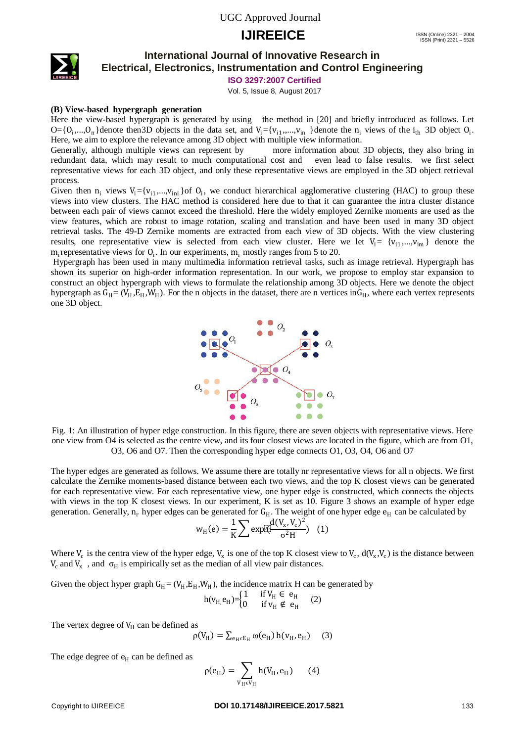### **IJIREEICE** ISSN (Online)  $2321 - 2004$ <br>
ISSN (Print)  $2321 - 2004$



### **International Journal of Innovative Research in Electrical, Electronics, Instrumentation and Control Engineering**

**ISO 3297:2007 Certified**

Vol. 5, Issue 8, August 2017

#### **(B) View-based hypergraph generation**

Here the view-based hypergraph is generated by using the method in [20] and briefly introduced as follows. Let  $O = \{O_1, \ldots, O_n\}$ denote then 3D objects in the data set, and  $V_i = \{v_{i1}, \ldots, v_{in}\}$  denote the  $n_i$  views of the  $i_{th}$  3D object  $O_i$ . Here, we aim to explore the relevance among 3D object with multiple view information.

Generally, although multiple views can represent by more information about 3D objects, they also bring in redundant data, which may result to much computational cost and even lead to false results. we first select representative views for each 3D object, and only these representative views are employed in the 3D object retrieval process.

Given then  $n_i$  views  $V_i = \{v_{i1},...,v_{ini}\}$  of  $O_i$ , we conduct hierarchical agglomerative clustering (HAC) to group these views into view clusters. The HAC method is considered here due to that it can guarantee the intra cluster distance between each pair of views cannot exceed the threshold. Here the widely employed Zernike moments are used as the view features, which are robust to image rotation, scaling and translation and have been used in many 3D object retrieval tasks. The 49-D Zernike moments are extracted from each view of 3D objects. With the view clustering results, one representative view is selected from each view cluster. Here we let  $V_i = \{v_{i1},...,v_{im}\}\$  denote the  $m_i$  representative views for  $O_i$ . In our experiments,  $m_i$  mostly ranges from 5 to 20.

Hypergraph has been used in many multimedia information retrieval tasks, such as image retrieval. Hypergraph has shown its superior on high-order information representation. In our work, we propose to employ star expansion to construct an object hypergraph with views to formulate the relationship among 3D objects. Here we denote the object hypergraph as  $G_H = (V_H, E_H, W_H)$ . For the n objects in the dataset, there are n vertices in $G_H$ , where each vertex represents one 3D object.



Fig. 1: An illustration of hyper edge construction. In this figure, there are seven objects with representative views. Here one view from O4 is selected as the centre view, and its four closest views are located in the figure, which are from O1, O3, O6 and O7. Then the corresponding hyper edge connects O1, O3, O4, O6 and O7

The hyper edges are generated as follows. We assume there are totally nr representative views for all n objects. We first calculate the Zernike moments-based distance between each two views, and the top K closest views can be generated for each representative view. For each representative view, one hyper edge is constructed, which connects the objects with views in the top K closest views. In our experiment, K is set as 10. Figure 3 shows an example of hyper edge generation. Generally,  $n_r$  hyper edges can be generated for  $G_H$ . The weight of one hyper edge  $e_H$  can be calculated by

$$
w_{H}(e) = \frac{1}{K} \sum exp[\frac{d(V_{x}, V_{c})^{2}}{\sigma^{2}H})
$$
 (1)

Where  $V_c$  is the centra view of the hyper edge,  $V_x$  is one of the top K closest view to  $V_c$ ,  $d(V_x, V_c)$  is the distance between  $V_c$  and  $V_x$ , and  $\sigma_H$  is empirically set as the median of all view pair distances.

Given the object hyper graph  $G_H = (V_H, E_H, W_H)$ , the incidence matrix H can be generated by

$$
h(v_{H,}e_{H}) = \begin{cases} 1 & \text{if } V_{H} \in e_{H} \\ 0 & \text{if } v_{H} \notin e_{H} \end{cases} \quad (2)
$$

The vertex degree of  $V_H$  can be defined as

$$
\rho(V_H) = \sum_{e_H \in E_H} \omega(e_H) h(v_H, e_H) \quad (3)
$$

The edge degree of  $e_H$  can be defined as

$$
\rho(e_H) = \sum_{V_H \in V_H} h(V_H, e_H) \qquad (4)
$$

#### Copyright to IJIREEICE **DOI 10.17148/IJIREEICE.2017.5821** 133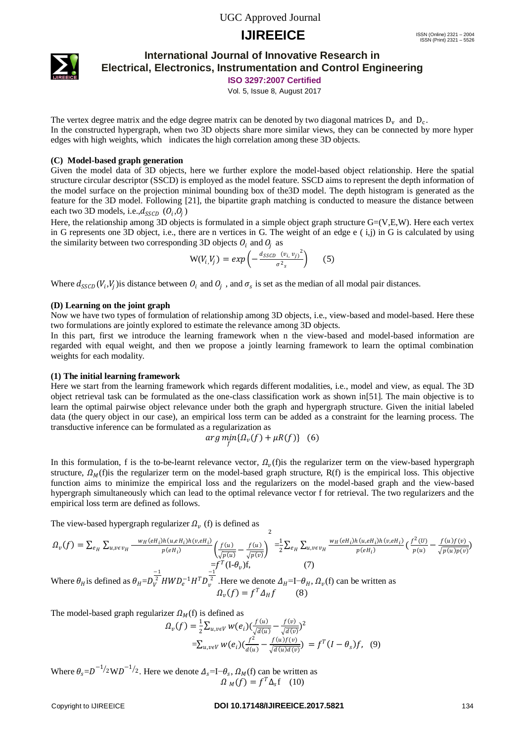# **IJIREEICE** ISSN (Online)  $2321 - 2004$ <br>
ISSN (Print)  $2321 - 2004$



**ISO 3297:2007 Certified**

Vol. 5, Issue 8, August 2017

The vertex degree matrix and the edge degree matrix can be denoted by two diagonal matrices  $D_v$  and  $D_c$ . In the constructed hypergraph, when two 3D objects share more similar views, they can be connected by more hyper edges with high weights, which indicates the high correlation among these 3D objects.

#### **(C) Model-based graph generation**

Given the model data of 3D objects, here we further explore the model-based object relationship. Here the spatial structure circular descriptor (SSCD) is employed as the model feature. SSCD aims to represent the depth information of the model surface on the projection minimal bounding box of the3D model. The depth histogram is generated as the feature for the 3D model. Following [21], the bipartite graph matching is conducted to measure the distance between each two 3D models, i.e., $d_{SSCD}$   $(O_i, O_j)$ 

Here, the relationship among 3D objects is formulated in a simple object graph structure  $G=(V,E,W)$ . Here each vertex in G represents one 3D object, i.e., there are n vertices in G. The weight of an edge  $e(i,j)$  in G is calculated by using the similarity between two corresponding 3D objects  $O_i$  and  $O_i$  as

$$
W(V_i, V_j) = exp\left(-\frac{d_{SSCD} (v_i, v_j)^2}{\sigma^2_s}\right) \qquad (5)
$$

Where  $d_{SSCD}(V_i, V_j)$  is distance between  $O_i$  and  $O_j$ , and  $\sigma_s$  is set as the median of all modal pair distances.

#### **(D) Learning on the joint graph**

Now we have two types of formulation of relationship among 3D objects, i.e., view-based and model-based. Here these two formulations are jointly explored to estimate the relevance among 3D objects.

In this part, first we introduce the learning framework when n the view-based and model-based information are regarded with equal weight, and then we propose a jointly learning framework to learn the optimal combination weights for each modality.

#### **(1) The initial learning framework**

Here we start from the learning framework which regards different modalities, i.e., model and view, as equal. The 3D object retrieval task can be formulated as the one-class classification work as shown in[51]. The main objective is to learn the optimal pairwise object relevance under both the graph and hypergraph structure. Given the initial labeled data (the query object in our case), an empirical loss term can be added as a constraint for the learning process. The transductive inference can be formulated as a regularization as

$$
arg\min_{f} \{\Omega_{v}(f) + \mu R(f)\} \quad (6)
$$

In this formulation, f is the to-be-learnt relevance vector,  $\Omega_{v}(f)$  is the regularizer term on the view-based hypergraph structure,  $\Omega_M(f)$  is the regularizer term on the model-based graph structure, R(f) is the empirical loss. This objective function aims to minimize the empirical loss and the regularizers on the model-based graph and the view-based hypergraph simultaneously which can lead to the optimal relevance vector f for retrieval. The two regularizers and the empirical loss term are defined as follows.

The view-based hypergraph regularizer  $\Omega_{\nu}$  (f) is defined as

$$
\Omega_{\nu}(f) = \sum_{e_H} \sum_{u,v \in v_H} \frac{w_H(eH_i)h(u,eH_i)h(v,eH_i)}{p(eH_i)} \left(\frac{f(u)}{\sqrt{p(u)}} - \frac{f(u)}{\sqrt{p(v)}}\right)^2 = \frac{1}{2} \sum_{e_H} \sum_{u,v \in v_H} \frac{w_H(eH_i)h(u,eH_i)h(v,eH_i)}{p(eH_i)} \left(\frac{f^2(U)}{p(u)} - \frac{f(u)f(v)}{\sqrt{p(u)p(v)}}\right)^2
$$
  
= 
$$
\int_0^T (1-\theta_{\nu})f,
$$
 (7)

Where  $\theta_H$  is defined as  $\theta_H = D_V^3$  $\frac{-1}{\lambda^2} HWD_e^{-1}H^TD_v^{\frac{-1}{2}}$ . Here we denote  $\Delta_H$ =I- $\theta_H$ ,  $\Omega_v$ (f) can be written as  $\Omega_v(f) = f^T \Delta_H f$  (8)

The model-based graph regularizer  $\Omega_M(f)$  is defined as

$$
\Omega_{\nu}(f) = \frac{1}{2} \sum_{u,v \in V} w(e_i) \left( \frac{f(u)}{\sqrt{d(u)}} - \frac{f(v)}{\sqrt{d(v)}} \right)^2
$$
  
=
$$
\sum_{u,v \in V} w(e_i) \left( \frac{f^2}{d(u)} - \frac{f(u)f(v)}{\sqrt{d(u)d(v)}} \right) = f^T (I - \theta_s) f, (9)
$$

Where  $\theta_s = D^{-1/2}WD^{-1/2}$ . Here we denote  $\Delta_s = I - \theta_s$ ,  $\Omega_M(f)$  can be written as  $\Omega_M(f) = f^T \Delta_s f$  (10)

#### Copyright to IJIREEICE **DOI 10.17148/IJIREEICE.2017.5821** 134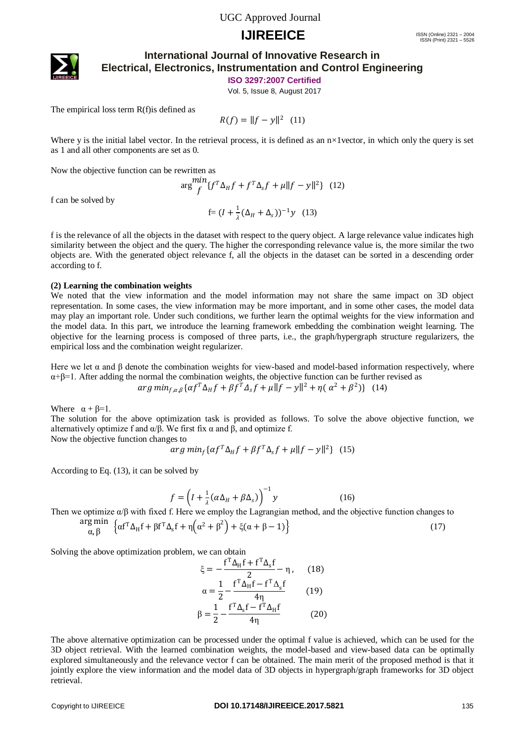## **IJIREEICE** ISSN (Online)  $2321 - 2004$ <br>
ISSN (Print)  $2321 - 2004$



### **International Journal of Innovative Research in Electrical, Electronics, Instrumentation and Control Engineering**

**ISO 3297:2007 Certified**

Vol. 5, Issue 8, August 2017

The empirical loss term R(f)is defined as

 $R(f) = ||f - y||^2$  (11)

Where y is the initial label vector. In the retrieval process, it is defined as an  $n \times 1$  vector, in which only the query is set as 1 and all other components are set as 0.

Now the objective function can be rewritten as

$$
\arg \frac{\min}{f} \{ f^T \Delta_H f + f^T \Delta_s f + \mu \| f - y \|^2 \} \tag{12}
$$
  
 
$$
f = (I + \frac{1}{\lambda} (\Delta_H + \Delta_s))^{-1} y \tag{13}
$$

f can be solved by

f is the relevance of all the objects in the dataset with respect to the query object. A large relevance value indicates high similarity between the object and the query. The higher the corresponding relevance value is, the more similar the two objects are. With the generated object relevance f, all the objects in the dataset can be sorted in a descending order according to f.

#### **(2) Learning the combination weights**

We noted that the view information and the model information may not share the same impact on 3D object representation. In some cases, the view information may be more important, and in some other cases, the model data may play an important role. Under such conditions, we further learn the optimal weights for the view information and the model data. In this part, we introduce the learning framework embedding the combination weight learning. The objective for the learning process is composed of three parts, i.e., the graph/hypergraph structure regularizers, the empirical loss and the combination weight regularizer.

Here we let  $\alpha$  and  $\beta$  denote the combination weights for view-based and model-based information respectively, where  $\alpha + \beta = 1$ . After adding the normal the combination weights, the objective function can be further revised as  $arg min_{f,\alpha,\beta} \{ \alpha f^T \Delta_H f + \beta f^T \Delta_s f + \mu \| f - y \|^2 + \eta (\alpha^2 + \beta^2) \}$  (14)

Where  $\alpha + \beta = 1$ .

The solution for the above optimization task is provided as follows. To solve the above objective function, we alternatively optimize f and  $\alpha$ /β. We first fix  $\alpha$  and β, and optimize f.

Now the objective function changes to

$$
arg min_f \{ \alpha f^T \Delta_H f + \beta f^T \Delta_s f + \mu \| f - y \|^2 \} \tag{15}
$$

According to Eq. (13), it can be solved by

$$
f = \left(I + \frac{1}{\lambda}(\alpha \Delta_H + \beta \Delta_s)\right)^{-1} y \tag{16}
$$

Then we optimize  $\alpha/\beta$  with fixed f. Here we employ the Lagrangian method, and the objective function changes to

$$
\underset{\alpha,\,\beta}{\arg\min} \quad \left\{ \alpha f^T \Delta_H f + \beta f^T \Delta_s f + \eta \left( \alpha^2 + \beta^2 \right) + \xi (\alpha + \beta - 1) \right\} \tag{17}
$$

Solving the above optimization problem, we can obtain

$$
\xi = -\frac{f^T \Delta_H f + f^T \Delta_s f}{2} - \eta, \qquad (18)
$$

$$
\alpha = \frac{1}{2} - \frac{f^T \Delta_H f - f^T \Delta_s f}{4\eta} \qquad (19)
$$

$$
\beta = \frac{1}{2} - \frac{f^T \Delta_s f - f^T \Delta_H f}{4\eta} \qquad (20)
$$

The above alternative optimization can be processed under the optimal f value is achieved, which can be used for the 3D object retrieval. With the learned combination weights, the model-based and view-based data can be optimally explored simultaneously and the relevance vector f can be obtained. The main merit of the proposed method is that it jointly explore the view information and the model data of 3D objects in hypergraph/graph frameworks for 3D object retrieval.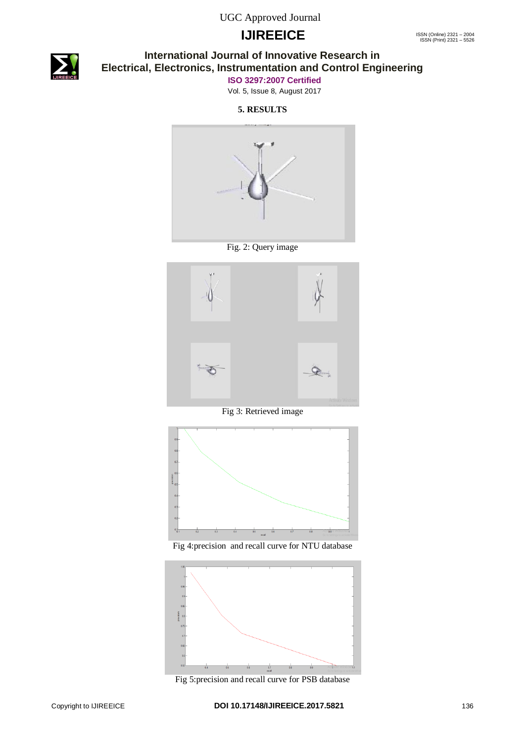# **IJIREEICE** ISSN (Online)  $2321 - 2004$ <br>
ISSN (Print)  $2321 - 2004$



### **International Journal of Innovative Research in Electrical, Electronics, Instrumentation and Control Engineering**

**ISO 3297:2007 Certified**

Vol. 5, Issue 8, August 2017

**5. RESULTS**



Fig. 2: Query image



Fig 3: Retrieved image



Fig 4:precision and recall curve for NTU database



Fig 5:precision and recall curve for PSB database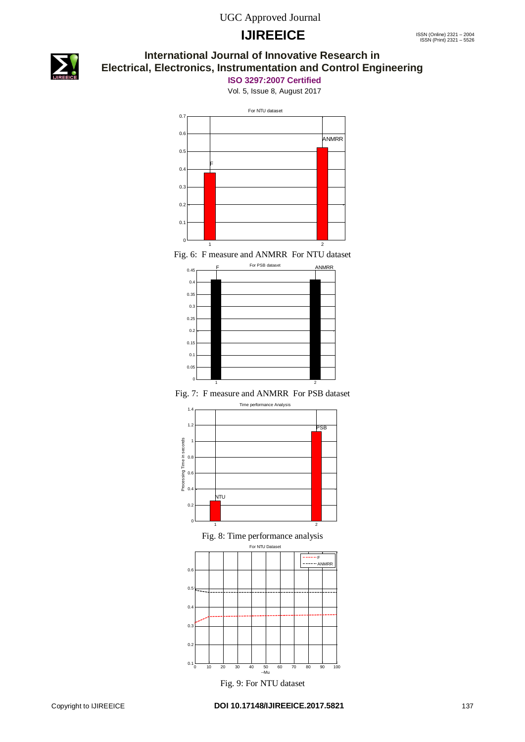# **IJIREEICE** ISSN (Online)  $2321 - 2004$ <br>
ISSN (Print)  $2321 - 2004$



### **International Journal of Innovative Research in Electrical, Electronics, Instrumentation and Control Engineering**

**ISO 3297:2007 Certified**

Vol. 5, Issue 8, August 2017



Fig. 6: F measure and ANMRR For NTU dataset



Fig. 7: F measure and ANMRR For PSB dataset







Fig. 9: For NTU dataset